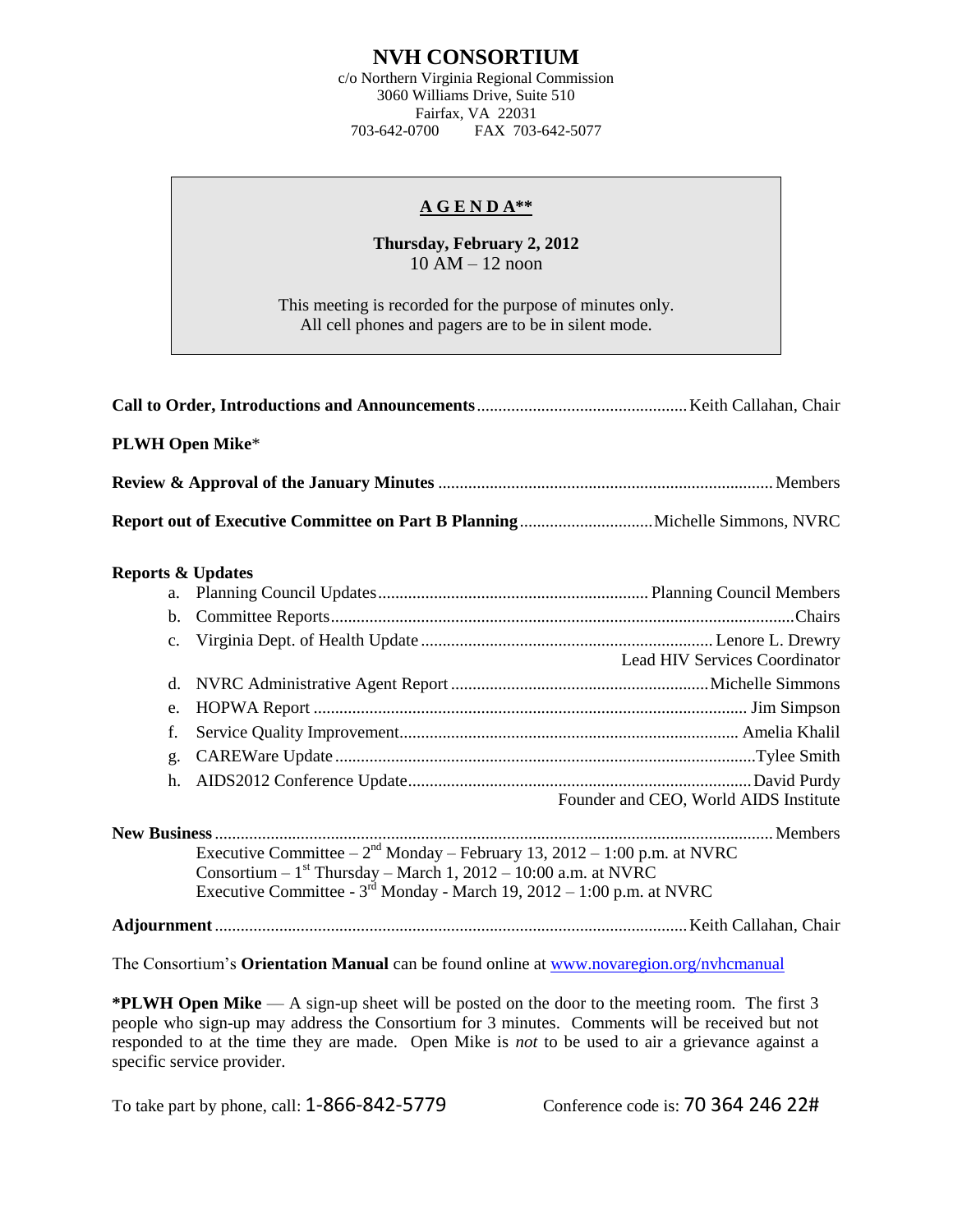## **NVH CONSORTIUM**

c/o Northern Virginia Regional Commission 3060 Williams Drive, Suite 510 Fairfax, VA 22031<br>703-642-0700 FAX 703-FAX 703-642-5077

## **A G E N D A\*\***

**Thursday, February 2, 2012** 10 AM – 12 noon

This meeting is recorded for the purpose of minutes only. All cell phones and pagers are to be in silent mode.

| <b>PLWH Open Mike*</b>       |                                                                                                                                                  |                                       |
|------------------------------|--------------------------------------------------------------------------------------------------------------------------------------------------|---------------------------------------|
|                              |                                                                                                                                                  |                                       |
|                              |                                                                                                                                                  |                                       |
| <b>Reports &amp; Updates</b> |                                                                                                                                                  |                                       |
| a.                           |                                                                                                                                                  |                                       |
| b.                           |                                                                                                                                                  |                                       |
| $\mathbf{c}$ .               |                                                                                                                                                  | <b>Lead HIV Services Coordinator</b>  |
| d.                           |                                                                                                                                                  |                                       |
| e.                           |                                                                                                                                                  |                                       |
| f.                           |                                                                                                                                                  |                                       |
| g.                           |                                                                                                                                                  |                                       |
| h.                           |                                                                                                                                                  |                                       |
|                              |                                                                                                                                                  | Founder and CEO, World AIDS Institute |
|                              |                                                                                                                                                  |                                       |
|                              | Executive Committee $-2^{nd}$ Monday – February 13, 2012 – 1:00 p.m. at NVRC<br>Consortium – $1st$ Thursday – March 1, 2012 – 10:00 a.m. at NVRC |                                       |
|                              | Executive Committee - $3^{rd}$ Monday - March 19, 2012 – 1:00 p.m. at NVRC                                                                       |                                       |
|                              |                                                                                                                                                  |                                       |
|                              | The Consortium's <b>Orientation Manual</b> can be found online at www.novaregion.org/nvhcmanual                                                  |                                       |

**\*PLWH Open Mike** — A sign-up sheet will be posted on the door to the meeting room. The first 3 people who sign-up may address the Consortium for 3 minutes. Comments will be received but not responded to at the time they are made. Open Mike is *not* to be used to air a grievance against a specific service provider.

To take part by phone, call: 1-866-842-5779 Conference code is: 70 364 246 22#